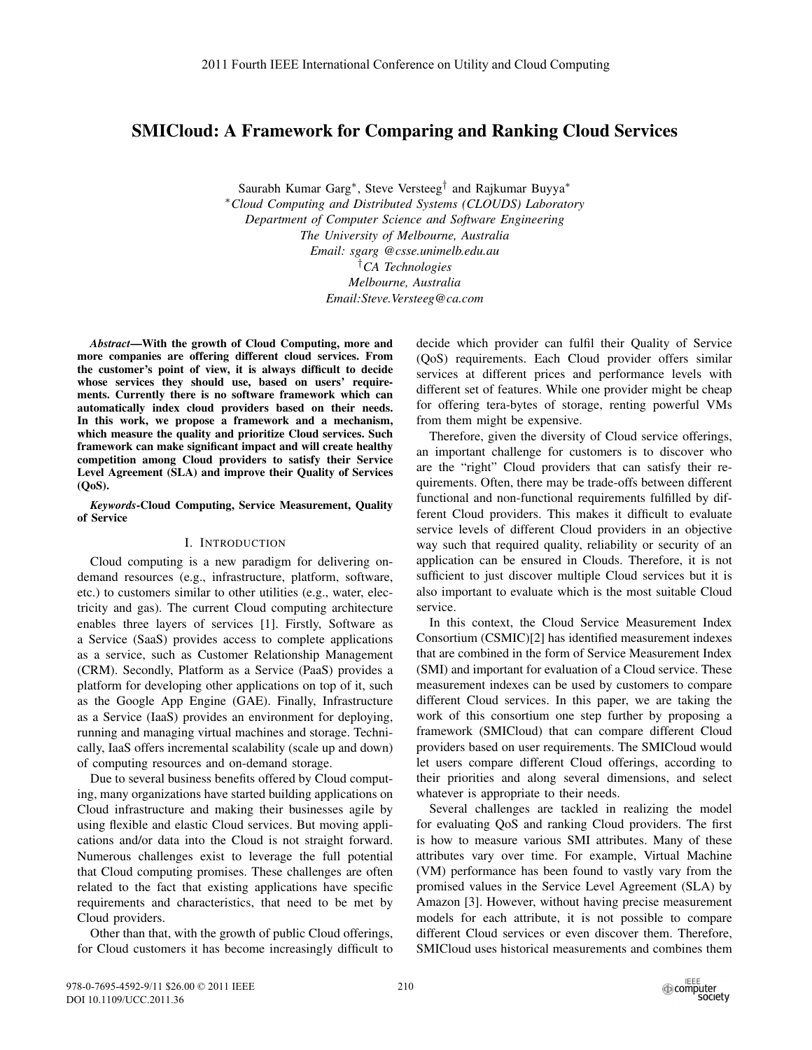# SMICloud: A Framework for Comparing and Ranking Cloud Services

Saurabh Kumar Garg∗, Steve Versteeg† and Rajkumar Buyya∗ ∗*Cloud Computing and Distributed Systems (CLOUDS) Laboratory Department of Computer Science and Software Engineering The University of Melbourne, Australia Email: sgarg @csse.unimelb.edu.au* †*CA Technologies Melbourne, Australia Email:Steve.Versteeg@ca.com*

*Abstract*—With the growth of Cloud Computing, more and more companies are offering different cloud services. From the customer's point of view, it is always difficult to decide whose services they should use, based on users' requirements. Currently there is no software framework which can automatically index cloud providers based on their needs. In this work, we propose a framework and a mechanism, which measure the quality and prioritize Cloud services. Such framework can make significant impact and will create healthy competition among Cloud providers to satisfy their Service Level Agreement (SLA) and improve their Quality of Services (QoS).

*Keywords*-Cloud Computing, Service Measurement, Quality of Service

# I. INTRODUCTION

Cloud computing is a new paradigm for delivering ondemand resources (e.g., infrastructure, platform, software, etc.) to customers similar to other utilities (e.g., water, electricity and gas). The current Cloud computing architecture enables three layers of services [1]. Firstly, Software as a Service (SaaS) provides access to complete applications as a service, such as Customer Relationship Management (CRM). Secondly, Platform as a Service (PaaS) provides a platform for developing other applications on top of it, such as the Google App Engine (GAE). Finally, Infrastructure as a Service (IaaS) provides an environment for deploying, running and managing virtual machines and storage. Technically, IaaS offers incremental scalability (scale up and down) of computing resources and on-demand storage.

Due to several business benefits offered by Cloud computing, many organizations have started building applications on Cloud infrastructure and making their businesses agile by using flexible and elastic Cloud services. But moving applications and/or data into the Cloud is not straight forward. Numerous challenges exist to leverage the full potential that Cloud computing promises. These challenges are often related to the fact that existing applications have specific requirements and characteristics, that need to be met by Cloud providers.

Other than that, with the growth of public Cloud offerings, for Cloud customers it has become increasingly difficult to decide which provider can fulfil their Quality of Service (QoS) requirements. Each Cloud provider offers similar services at different prices and performance levels with different set of features. While one provider might be cheap for offering tera-bytes of storage, renting powerful VMs from them might be expensive.

Therefore, given the diversity of Cloud service offerings, an important challenge for customers is to discover who are the "right" Cloud providers that can satisfy their requirements. Often, there may be trade-offs between different functional and non-functional requirements fulfilled by different Cloud providers. This makes it difficult to evaluate service levels of different Cloud providers in an objective way such that required quality, reliability or security of an application can be ensured in Clouds. Therefore, it is not sufficient to just discover multiple Cloud services but it is also important to evaluate which is the most suitable Cloud service.

In this context, the Cloud Service Measurement Index Consortium (CSMIC)[2] has identified measurement indexes that are combined in the form of Service Measurement Index (SMI) and important for evaluation of a Cloud service. These measurement indexes can be used by customers to compare different Cloud services. In this paper, we are taking the work of this consortium one step further by proposing a framework (SMICloud) that can compare different Cloud providers based on user requirements. The SMICloud would let users compare different Cloud offerings, according to their priorities and along several dimensions, and select whatever is appropriate to their needs.

Several challenges are tackled in realizing the model for evaluating QoS and ranking Cloud providers. The first is how to measure various SMI attributes. Many of these attributes vary over time. For example, Virtual Machine (VM) performance has been found to vastly vary from the promised values in the Service Level Agreement (SLA) by Amazon [3]. However, without having precise measurement models for each attribute, it is not possible to compare different Cloud services or even discover them. Therefore, SMICloud uses historical measurements and combines them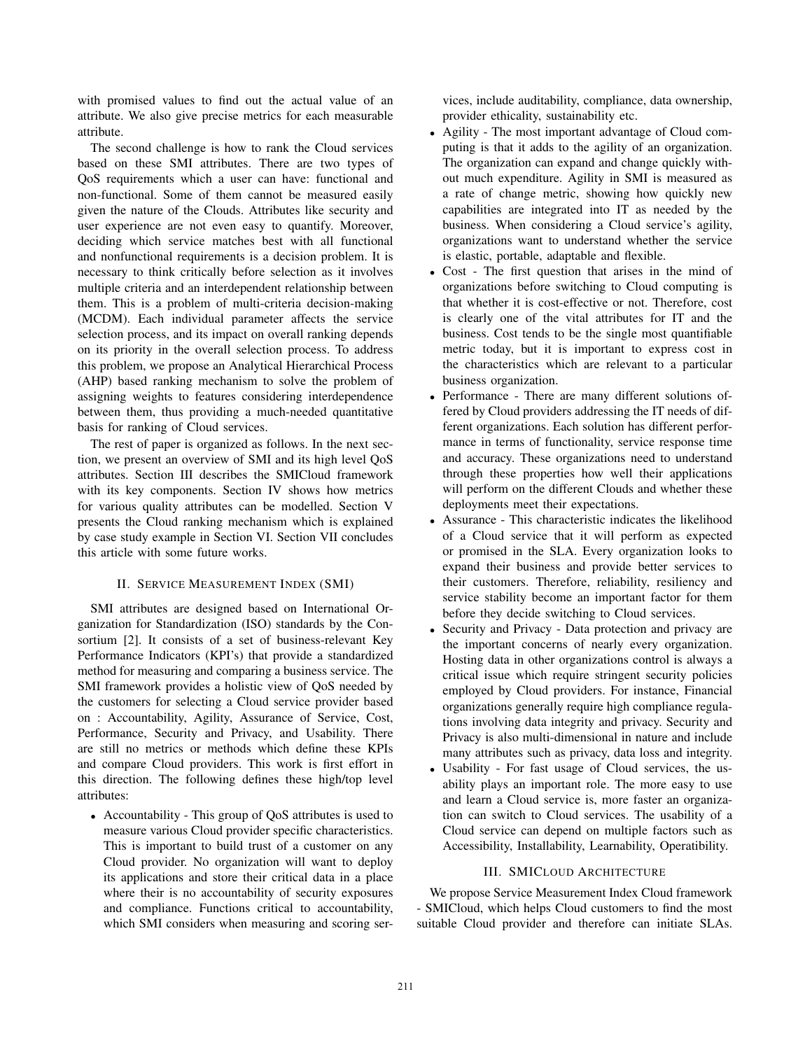with promised values to find out the actual value of an attribute. We also give precise metrics for each measurable attribute.

The second challenge is how to rank the Cloud services based on these SMI attributes. There are two types of QoS requirements which a user can have: functional and non-functional. Some of them cannot be measured easily given the nature of the Clouds. Attributes like security and user experience are not even easy to quantify. Moreover, deciding which service matches best with all functional and nonfunctional requirements is a decision problem. It is necessary to think critically before selection as it involves multiple criteria and an interdependent relationship between them. This is a problem of multi-criteria decision-making (MCDM). Each individual parameter affects the service selection process, and its impact on overall ranking depends on its priority in the overall selection process. To address this problem, we propose an Analytical Hierarchical Process (AHP) based ranking mechanism to solve the problem of assigning weights to features considering interdependence between them, thus providing a much-needed quantitative basis for ranking of Cloud services.

The rest of paper is organized as follows. In the next section, we present an overview of SMI and its high level QoS attributes. Section III describes the SMICloud framework with its key components. Section IV shows how metrics for various quality attributes can be modelled. Section V presents the Cloud ranking mechanism which is explained by case study example in Section VI. Section VII concludes this article with some future works.

# II. SERVICE MEASUREMENT INDEX (SMI)

SMI attributes are designed based on International Organization for Standardization (ISO) standards by the Consortium [2]. It consists of a set of business-relevant Key Performance Indicators (KPI's) that provide a standardized method for measuring and comparing a business service. The SMI framework provides a holistic view of QoS needed by the customers for selecting a Cloud service provider based on : Accountability, Agility, Assurance of Service, Cost, Performance, Security and Privacy, and Usability. There are still no metrics or methods which define these KPIs and compare Cloud providers. This work is first effort in this direction. The following defines these high/top level attributes:

• Accountability - This group of QoS attributes is used to measure various Cloud provider specific characteristics. This is important to build trust of a customer on any Cloud provider. No organization will want to deploy its applications and store their critical data in a place where their is no accountability of security exposures and compliance. Functions critical to accountability, which SMI considers when measuring and scoring services, include auditability, compliance, data ownership, provider ethicality, sustainability etc.

- Agility The most important advantage of Cloud computing is that it adds to the agility of an organization. The organization can expand and change quickly without much expenditure. Agility in SMI is measured as a rate of change metric, showing how quickly new capabilities are integrated into IT as needed by the business. When considering a Cloud service's agility, organizations want to understand whether the service is elastic, portable, adaptable and flexible.
- Cost The first question that arises in the mind of organizations before switching to Cloud computing is that whether it is cost-effective or not. Therefore, cost is clearly one of the vital attributes for IT and the business. Cost tends to be the single most quantifiable metric today, but it is important to express cost in the characteristics which are relevant to a particular business organization.
- Performance There are many different solutions offered by Cloud providers addressing the IT needs of different organizations. Each solution has different performance in terms of functionality, service response time and accuracy. These organizations need to understand through these properties how well their applications will perform on the different Clouds and whether these deployments meet their expectations.
- Assurance This characteristic indicates the likelihood of a Cloud service that it will perform as expected or promised in the SLA. Every organization looks to expand their business and provide better services to their customers. Therefore, reliability, resiliency and service stability become an important factor for them before they decide switching to Cloud services.
- Security and Privacy Data protection and privacy are the important concerns of nearly every organization. Hosting data in other organizations control is always a critical issue which require stringent security policies employed by Cloud providers. For instance, Financial organizations generally require high compliance regulations involving data integrity and privacy. Security and Privacy is also multi-dimensional in nature and include many attributes such as privacy, data loss and integrity.
- Usability For fast usage of Cloud services, the usability plays an important role. The more easy to use and learn a Cloud service is, more faster an organization can switch to Cloud services. The usability of a Cloud service can depend on multiple factors such as Accessibility, Installability, Learnability, Operatibility.

# III. SMICLOUD ARCHITECTURE

We propose Service Measurement Index Cloud framework SMICloud, which helps Cloud customers to find the most suitable Cloud provider and therefore can initiate SLAs.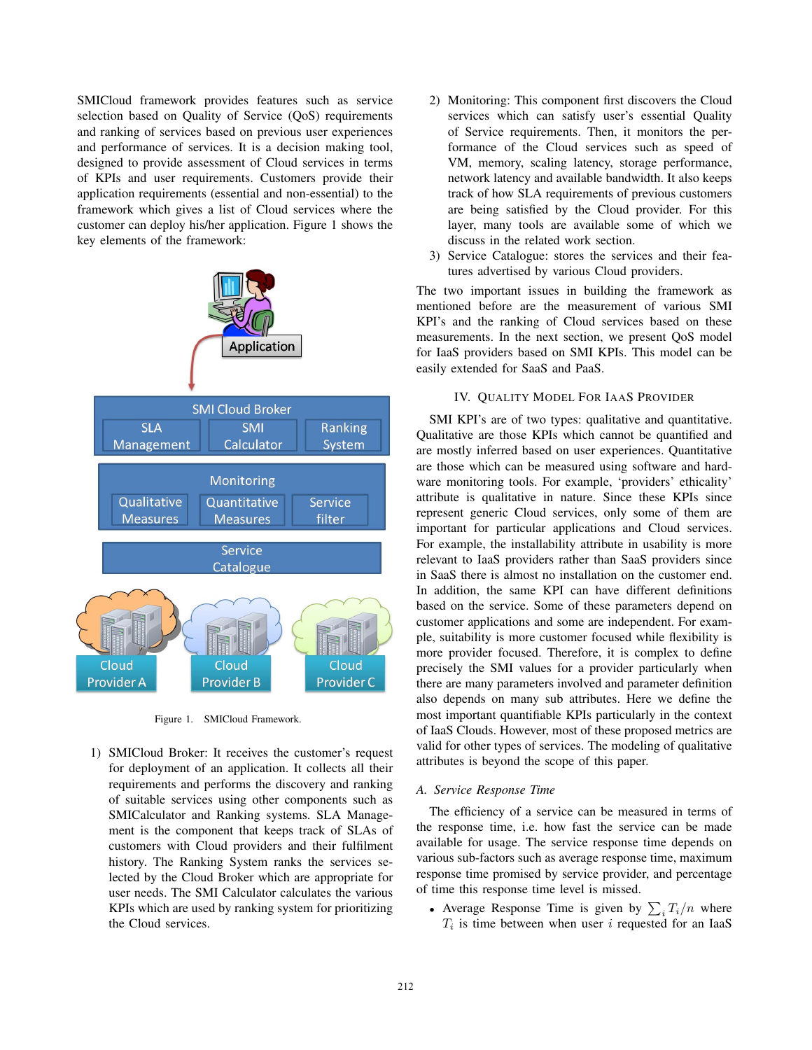SMICloud framework provides features such as service selection based on Quality of Service (QoS) requirements and ranking of services based on previous user experiences and performance of services. It is a decision making tool, designed to provide assessment of Cloud services in terms of KPIs and user requirements. Customers provide their application requirements (essential and non-essential) to the framework which gives a list of Cloud services where the customer can deploy his/her application. Figure 1 shows the key elements of the framework:



Figure 1. SMICloud Framework.

1) SMICloud Broker: It receives the customer's request for deployment of an application. It collects all their requirements and performs the discovery and ranking of suitable services using other components such as SMICalculator and Ranking systems. SLA Management is the component that keeps track of SLAs of customers with Cloud providers and their fulfilment history. The Ranking System ranks the services selected by the Cloud Broker which are appropriate for user needs. The SMI Calculator calculates the various KPIs which are used by ranking system for prioritizing the Cloud services.

- 2) Monitoring: This component first discovers the Cloud services which can satisfy user's essential Quality of Service requirements. Then, it monitors the performance of the Cloud services such as speed of VM, memory, scaling latency, storage performance, network latency and available bandwidth. It also keeps track of how SLA requirements of previous customers are being satisfied by the Cloud provider. For this layer, many tools are available some of which we discuss in the related work section.
- 3) Service Catalogue: stores the services and their features advertised by various Cloud providers.

The two important issues in building the framework as mentioned before are the measurement of various SMI KPI's and the ranking of Cloud services based on these measurements. In the next section, we present QoS model for IaaS providers based on SMI KPIs. This model can be easily extended for SaaS and PaaS.

### IV. QUALITY MODEL FOR IAAS PROVIDER

SMI KPI's are of two types: qualitative and quantitative. Qualitative are those KPIs which cannot be quantified and are mostly inferred based on user experiences. Quantitative are those which can be measured using software and hardware monitoring tools. For example, 'providers' ethicality' attribute is qualitative in nature. Since these KPIs since represent generic Cloud services, only some of them are important for particular applications and Cloud services. For example, the installability attribute in usability is more relevant to IaaS providers rather than SaaS providers since in SaaS there is almost no installation on the customer end. In addition, the same KPI can have different definitions based on the service. Some of these parameters depend on customer applications and some are independent. For example, suitability is more customer focused while flexibility is more provider focused. Therefore, it is complex to define precisely the SMI values for a provider particularly when there are many parameters involved and parameter definition also depends on many sub attributes. Here we define the most important quantifiable KPIs particularly in the context of IaaS Clouds. However, most of these proposed metrics are valid for other types of services. The modeling of qualitative attributes is beyond the scope of this paper.

#### *A. Service Response Time*

The efficiency of a service can be measured in terms of the response time, i.e. how fast the service can be made available for usage. The service response time depends on various sub-factors such as average response time, maximum response time promised by service provider, and percentage of time this response time level is missed.

• Average Response Time is given by  $\sum_i T_i/n$  where  $T_i$  is time between when user i requested for an IaaS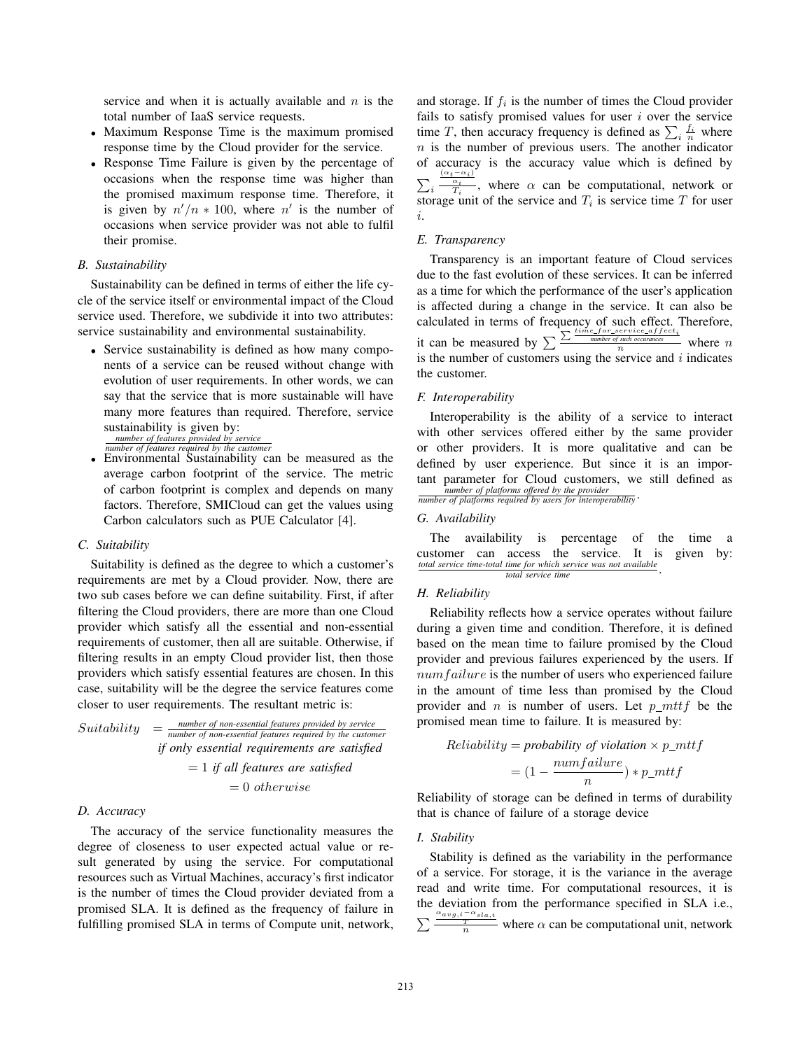service and when it is actually available and  $n$  is the total number of IaaS service requests.

- Maximum Response Time is the maximum promised response time by the Cloud provider for the service.
- Response Time Failure is given by the percentage of occasions when the response time was higher than the promised maximum response time. Therefore, it is given by  $n'/n * 100$ , where n' is the number of occasions when service provider was not able to fulfil their promise.

#### *B. Sustainability*

Sustainability can be defined in terms of either the life cycle of the service itself or environmental impact of the Cloud service used. Therefore, we subdivide it into two attributes: service sustainability and environmental sustainability.

• Service sustainability is defined as how many components of a service can be reused without change with evolution of user requirements. In other words, we can say that the service that is more sustainable will have many more features than required. Therefore, service sustainability is given by:

*number of features provided by service number of features required by the customer* • Environmental Sustainability can be measured as the average carbon footprint of the service. The metric of carbon footprint is complex and depends on many factors. Therefore, SMICloud can get the values using Carbon calculators such as PUE Calculator [4].

### *C. Suitability*

Suitability is defined as the degree to which a customer's requirements are met by a Cloud provider. Now, there are two sub cases before we can define suitability. First, if after filtering the Cloud providers, there are more than one Cloud provider which satisfy all the essential and non-essential requirements of customer, then all are suitable. Otherwise, if filtering results in an empty Cloud provider list, then those providers which satisfy essential features are chosen. In this case, suitability will be the degree the service features come closer to user requirements. The resultant metric is:

$$
Suitability = \frac{number of non-essential features provided by service}{number of non-essential features required by the customer if only essential requirements are satisfied}
$$

$$
= 1 if all features are satisfied
$$

$$
= 0 otherwise
$$

#### *D. Accuracy*

The accuracy of the service functionality measures the degree of closeness to user expected actual value or result generated by using the service. For computational resources such as Virtual Machines, accuracy's first indicator is the number of times the Cloud provider deviated from a promised SLA. It is defined as the frequency of failure in fulfilling promised SLA in terms of Compute unit, network, and storage. If  $f_i$  is the number of times the Cloud provider fails to satisfy promised values for user  $i$  over the service time *T*, then accuracy frequency is defined as  $\sum_i \frac{f_i}{n}$  where  $n$  is the number of previous users. The another indicator of accuracy is the accuracy value which is defined by  $\sum_i$  $\frac{\frac{(\alpha_t - \alpha_i)}{\alpha_t}}{T_i}$ , where  $\alpha$  can be computational, network or storage unit of the service and  $T_i$  is service time T for user i.

#### *E. Transparency*

Transparency is an important feature of Cloud services due to the fast evolution of these services. It can be inferred as a time for which the performance of the user's application is affected during a change in the service. It can also be calculated in terms of frequency of such effect. Therefore, it can be measured by  $\sum_{m} \frac{\sum_{\text{time\_for\_service\_affect_i}}{\text{number of}}}{n}$  where n is the number of customers using the service and  $i$  indicates the customer.

#### *F. Interoperability*

Interoperability is the ability of a service to interact with other services offered either by the same provider or other providers. It is more qualitative and can be defined by user experience. But since it is an important parameter for Cloud customers, we still defined as

*number of platforms offered by the provider number of platforms required by users for interoperability* .

### *G. Availability*

The availability is percentage of the time a customer can access the service. It is given by: *total service time-total time for which service was not available total service time* .

#### *H. Reliability*

Reliability reflects how a service operates without failure during a given time and condition. Therefore, it is defined based on the mean time to failure promised by the Cloud provider and previous failures experienced by the users. If  $num failure$  is the number of users who experienced failure in the amount of time less than promised by the Cloud provider and *n* is number of users. Let  $p\_mttf$  be the promised mean time to failure. It is measured by:

$$
Reliability = probability\ of\ violation\times p\_mttf\\ = (1 - \frac{numfailure}{n})*p\_mttf
$$

Reliability of storage can be defined in terms of durability that is chance of failure of a storage device

#### *I. Stability*

Stability is defined as the variability in the performance of a service. For storage, it is the variance in the average read and write time. For computational resources, it is the deviation from the performance specified in SLA i.e.,  $\sum$  $\sum_{n=0} \frac{\frac{\alpha_{avg,i}-\alpha_{sla,i}}{T}}{n}$  where  $\alpha$  can be computational unit, network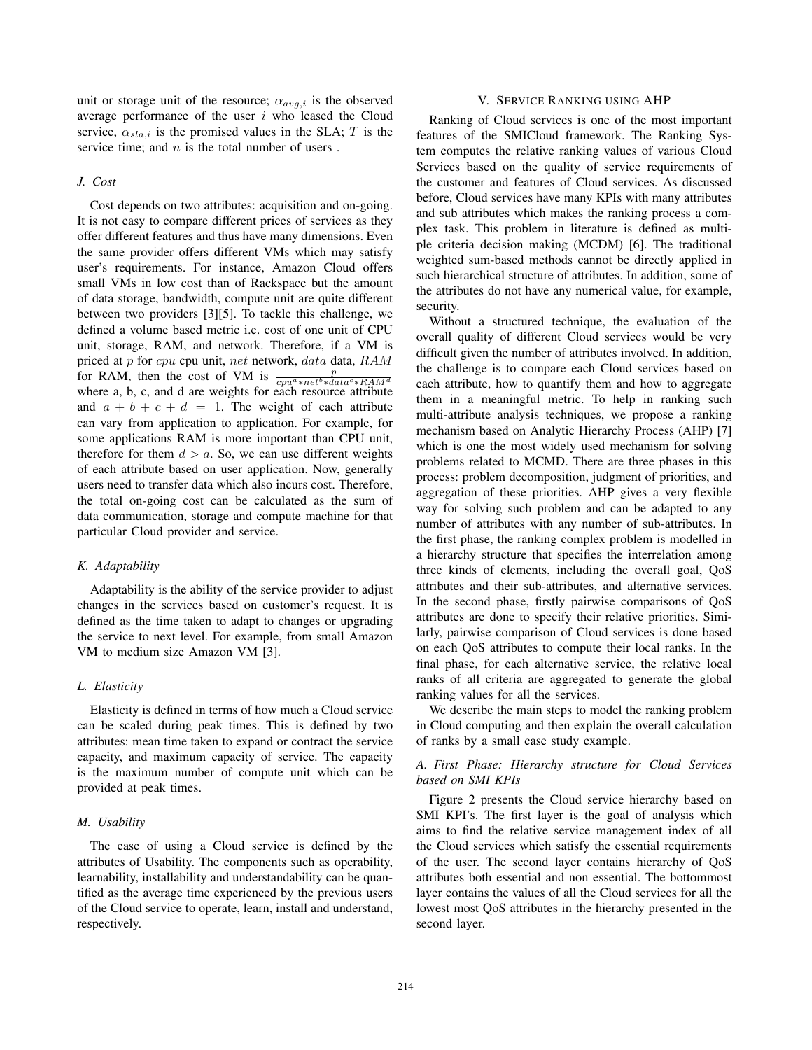unit or storage unit of the resource;  $\alpha_{avg,i}$  is the observed average performance of the user  $i$  who leased the Cloud service,  $\alpha_{sla,i}$  is the promised values in the SLA; T is the service time; and  $n$  is the total number of users.

# *J. Cost*

Cost depends on two attributes: acquisition and on-going. It is not easy to compare different prices of services as they offer different features and thus have many dimensions. Even the same provider offers different VMs which may satisfy user's requirements. For instance, Amazon Cloud offers small VMs in low cost than of Rackspace but the amount of data storage, bandwidth, compute unit are quite different between two providers [3][5]. To tackle this challenge, we defined a volume based metric i.e. cost of one unit of CPU unit, storage, RAM, and network. Therefore, if a VM is priced at p for cpu cpu unit, net network, data data, RAM for RAM, then the cost of VM is  $\frac{p}{cpu^a * net^b * data^c * RAM^d}$ where a, b, c, and d are weights for each resource attribute and  $a + b + c + d = 1$ . The weight of each attribute can vary from application to application. For example, for some applications RAM is more important than CPU unit, therefore for them  $d > a$ . So, we can use different weights of each attribute based on user application. Now, generally users need to transfer data which also incurs cost. Therefore, the total on-going cost can be calculated as the sum of data communication, storage and compute machine for that particular Cloud provider and service.

### *K. Adaptability*

Adaptability is the ability of the service provider to adjust changes in the services based on customer's request. It is defined as the time taken to adapt to changes or upgrading the service to next level. For example, from small Amazon VM to medium size Amazon VM [3].

### *L. Elasticity*

Elasticity is defined in terms of how much a Cloud service can be scaled during peak times. This is defined by two attributes: mean time taken to expand or contract the service capacity, and maximum capacity of service. The capacity is the maximum number of compute unit which can be provided at peak times.

### *M. Usability*

The ease of using a Cloud service is defined by the attributes of Usability. The components such as operability, learnability, installability and understandability can be quantified as the average time experienced by the previous users of the Cloud service to operate, learn, install and understand, respectively.

### V. SERVICE RANKING USING AHP

Ranking of Cloud services is one of the most important features of the SMICloud framework. The Ranking System computes the relative ranking values of various Cloud Services based on the quality of service requirements of the customer and features of Cloud services. As discussed before, Cloud services have many KPIs with many attributes and sub attributes which makes the ranking process a complex task. This problem in literature is defined as multiple criteria decision making (MCDM) [6]. The traditional weighted sum-based methods cannot be directly applied in such hierarchical structure of attributes. In addition, some of the attributes do not have any numerical value, for example, security.

Without a structured technique, the evaluation of the overall quality of different Cloud services would be very difficult given the number of attributes involved. In addition, the challenge is to compare each Cloud services based on each attribute, how to quantify them and how to aggregate them in a meaningful metric. To help in ranking such multi-attribute analysis techniques, we propose a ranking mechanism based on Analytic Hierarchy Process (AHP) [7] which is one the most widely used mechanism for solving problems related to MCMD. There are three phases in this process: problem decomposition, judgment of priorities, and aggregation of these priorities. AHP gives a very flexible way for solving such problem and can be adapted to any number of attributes with any number of sub-attributes. In the first phase, the ranking complex problem is modelled in a hierarchy structure that specifies the interrelation among three kinds of elements, including the overall goal, QoS attributes and their sub-attributes, and alternative services. In the second phase, firstly pairwise comparisons of QoS attributes are done to specify their relative priorities. Similarly, pairwise comparison of Cloud services is done based on each QoS attributes to compute their local ranks. In the final phase, for each alternative service, the relative local ranks of all criteria are aggregated to generate the global ranking values for all the services.

We describe the main steps to model the ranking problem in Cloud computing and then explain the overall calculation of ranks by a small case study example.

# *A. First Phase: Hierarchy structure for Cloud Services based on SMI KPIs*

Figure 2 presents the Cloud service hierarchy based on SMI KPI's. The first layer is the goal of analysis which aims to find the relative service management index of all the Cloud services which satisfy the essential requirements of the user. The second layer contains hierarchy of QoS attributes both essential and non essential. The bottommost layer contains the values of all the Cloud services for all the lowest most QoS attributes in the hierarchy presented in the second layer.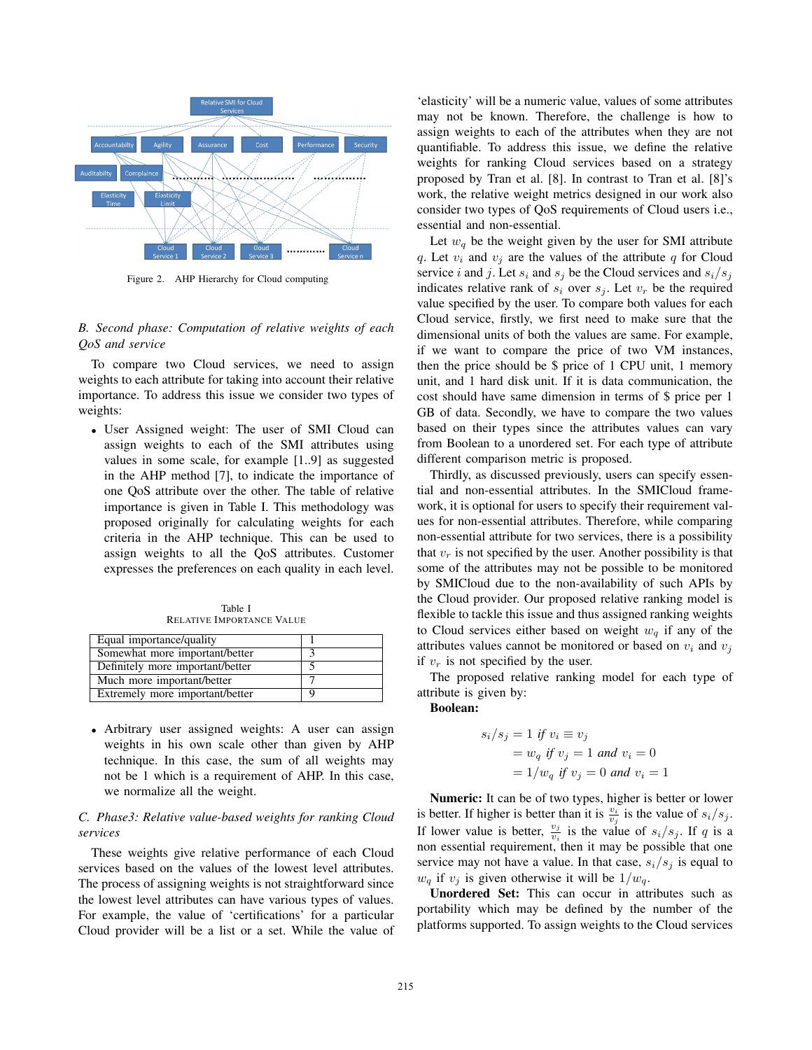

Figure 2. AHP Hierarchy for Cloud computing

# *B. Second phase: Computation of relative weights of each QoS and service*

To compare two Cloud services, we need to assign weights to each attribute for taking into account their relative importance. To address this issue we consider two types of weights:

• User Assigned weight: The user of SMI Cloud can assign weights to each of the SMI attributes using values in some scale, for example [1..9] as suggested in the AHP method [7], to indicate the importance of one QoS attribute over the other. The table of relative importance is given in Table I. This methodology was proposed originally for calculating weights for each criteria in the AHP technique. This can be used to assign weights to all the QoS attributes. Customer expresses the preferences on each quality in each level.

Table I RELATIVE IMPORTANCE VALUE

| Equal importance/quality         |  |
|----------------------------------|--|
| Somewhat more important/better   |  |
| Definitely more important/better |  |
| Much more important/better       |  |
| Extremely more important/better  |  |

• Arbitrary user assigned weights: A user can assign weights in his own scale other than given by AHP technique. In this case, the sum of all weights may not be 1 which is a requirement of AHP. In this case, we normalize all the weight.

# *C. Phase3: Relative value-based weights for ranking Cloud services*

These weights give relative performance of each Cloud services based on the values of the lowest level attributes. The process of assigning weights is not straightforward since the lowest level attributes can have various types of values. For example, the value of 'certifications' for a particular Cloud provider will be a list or a set. While the value of 'elasticity' will be a numeric value, values of some attributes may not be known. Therefore, the challenge is how to assign weights to each of the attributes when they are not quantifiable. To address this issue, we define the relative weights for ranking Cloud services based on a strategy proposed by Tran et al. [8]. In contrast to Tran et al. [8]'s work, the relative weight metrics designed in our work also consider two types of QoS requirements of Cloud users i.e., essential and non-essential.

Let  $w_q$  be the weight given by the user for SMI attribute q. Let  $v_i$  and  $v_j$  are the values of the attribute q for Cloud service i and j. Let  $s_i$  and  $s_j$  be the Cloud services and  $s_i/s_j$ indicates relative rank of  $s_i$  over  $s_j$ . Let  $v_r$  be the required value specified by the user. To compare both values for each Cloud service, firstly, we first need to make sure that the dimensional units of both the values are same. For example, if we want to compare the price of two VM instances, then the price should be \$ price of 1 CPU unit, 1 memory unit, and 1 hard disk unit. If it is data communication, the cost should have same dimension in terms of \$ price per 1 GB of data. Secondly, we have to compare the two values based on their types since the attributes values can vary from Boolean to a unordered set. For each type of attribute different comparison metric is proposed.

Thirdly, as discussed previously, users can specify essential and non-essential attributes. In the SMICloud framework, it is optional for users to specify their requirement values for non-essential attributes. Therefore, while comparing non-essential attribute for two services, there is a possibility that  $v_r$  is not specified by the user. Another possibility is that some of the attributes may not be possible to be monitored by SMICloud due to the non-availability of such APIs by the Cloud provider. Our proposed relative ranking model is flexible to tackle this issue and thus assigned ranking weights to Cloud services either based on weight  $w<sub>q</sub>$  if any of the attributes values cannot be monitored or based on  $v_i$  and  $v_j$ if  $v_r$  is not specified by the user.

The proposed relative ranking model for each type of attribute is given by:

Boolean:

$$
s_i/s_j = 1 \text{ if } v_i \equiv v_j
$$
  
=  $w_q$  if  $v_j = 1$  and  $v_i = 0$   
=  $1/w_q$  if  $v_j = 0$  and  $v_i = 1$ 

Numeric: It can be of two types, higher is better or lower is better. If higher is better than it is  $\frac{v_i}{v_j}$  is the value of  $s_i/s_j$ . If lower value is better,  $\frac{v_j}{v_i}$  is the value of  $s_i/s_j$ . If q is a non essential requirement, then it may be possible that one service may not have a value. In that case,  $s_i/s_j$  is equal to  $w_q$  if  $v_j$  is given otherwise it will be  $1/w_q$ .

Unordered Set: This can occur in attributes such as portability which may be defined by the number of the platforms supported. To assign weights to the Cloud services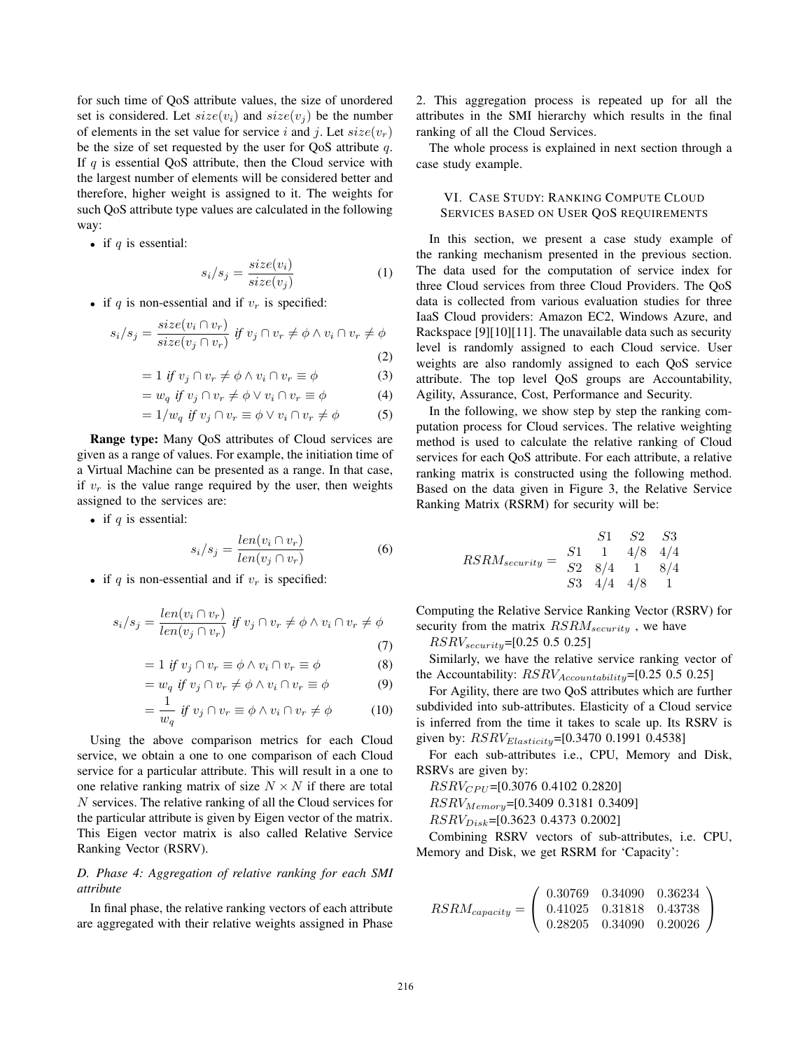for such time of QoS attribute values, the size of unordered set is considered. Let  $size(v_i)$  and  $size(v_j)$  be the number of elements in the set value for service i and j. Let  $size(v_r)$ be the size of set requested by the user for  $QoS$  attribute q. If  $q$  is essential QoS attribute, then the Cloud service with the largest number of elements will be considered better and therefore, higher weight is assigned to it. The weights for such QoS attribute type values are calculated in the following way:

• if  $q$  is essential:

$$
s_i/s_j = \frac{size(v_i)}{size(v_j)}
$$
 (1)

• if q is non-essential and if  $v_r$  is specified:

$$
s_i/s_j = \frac{size(v_i \cap v_r)}{size(v_j \cap v_r)} \text{ if } v_j \cap v_r \neq \phi \land v_i \cap v_r \neq \phi
$$
\n
$$
\tag{2}
$$

$$
= 1 \text{ if } v_j \cap v_r \neq \phi \land v_i \cap v_r \equiv \phi \tag{3}
$$

$$
= w_q \text{ if } v_j \cap v_r \neq \phi \lor v_i \cap v_r \equiv \phi \tag{4}
$$

$$
= 1/w_q \text{ if } v_j \cap v_r \equiv \phi \lor v_i \cap v_r \neq \phi \tag{5}
$$

Range type: Many QoS attributes of Cloud services are given as a range of values. For example, the initiation time of a Virtual Machine can be presented as a range. In that case, if  $v_r$  is the value range required by the user, then weights assigned to the services are:

• if  $q$  is essential:

$$
s_i/s_j = \frac{len(v_i \cap v_r)}{len(v_j \cap v_r)}
$$
(6)

• if q is non-essential and if  $v_r$  is specified:

$$
s_i/s_j = \frac{len(v_i \cap v_r)}{len(v_j \cap v_r)} \text{ if } v_j \cap v_r \neq \phi \land v_i \cap v_r \neq \phi
$$

(7) 
$$
\mathbf{1} \text{ if } v \in \Omega, v = \phi \land v \in \Omega, v = \phi
$$

$$
= 1 \t y \t v_j + v_r = \varphi \wedge v_i + v_r = \varphi \tag{8}
$$

$$
= w_q \text{ if } v_j \cap v_r \neq \phi \land v_i \cap v_r \equiv \phi \tag{9}
$$

$$
= \frac{1}{w_q} \text{ if } v_j \cap v_r \equiv \phi \land v_i \cap v_r \neq \phi \tag{10}
$$

Using the above comparison metrics for each Cloud service, we obtain a one to one comparison of each Cloud service for a particular attribute. This will result in a one to one relative ranking matrix of size  $N \times N$  if there are total N services. The relative ranking of all the Cloud services for the particular attribute is given by Eigen vector of the matrix. This Eigen vector matrix is also called Relative Service Ranking Vector (RSRV).

# *D. Phase 4: Aggregation of relative ranking for each SMI attribute*

In final phase, the relative ranking vectors of each attribute are aggregated with their relative weights assigned in Phase

2. This aggregation process is repeated up for all the attributes in the SMI hierarchy which results in the final ranking of all the Cloud Services.

The whole process is explained in next section through a case study example.

# VI. CASE STUDY: RANKING COMPUTE CLOUD SERVICES BASED ON USER QOS REQUIREMENTS

In this section, we present a case study example of the ranking mechanism presented in the previous section. The data used for the computation of service index for three Cloud services from three Cloud Providers. The QoS data is collected from various evaluation studies for three IaaS Cloud providers: Amazon EC2, Windows Azure, and Rackspace [9][10][11]. The unavailable data such as security level is randomly assigned to each Cloud service. User weights are also randomly assigned to each QoS service attribute. The top level QoS groups are Accountability, Agility, Assurance, Cost, Performance and Security.

In the following, we show step by step the ranking computation process for Cloud services. The relative weighting method is used to calculate the relative ranking of Cloud services for each QoS attribute. For each attribute, a relative ranking matrix is constructed using the following method. Based on the data given in Figure 3, the Relative Service Ranking Matrix (RSRM) for security will be:

$$
SSRM_{security} = \begin{array}{ccccc} & S1 & S2 & S3 \\ S1 & 1 & 4/8 & 4/4 \\ S2 & 8/4 & 1 & 8/4 \\ S3 & 4/4 & 4/8 & 1 \end{array}
$$

Computing the Relative Service Ranking Vector (RSRV) for security from the matrix  $RSRM_{security}$ , we have

 $RSRV_{security} = [0.25 \ 0.5 \ 0.25]$ 

Similarly, we have the relative service ranking vector of the Accountability:  $RSRV_{Accountability}$ =[0.25 0.5 0.25]

For Agility, there are two QoS attributes which are further subdivided into sub-attributes. Elasticity of a Cloud service is inferred from the time it takes to scale up. Its RSRV is given by:  $RSRV_{Elasticity}$ =[0.3470 0.1991 0.4538]

For each sub-attributes i.e., CPU, Memory and Disk, RSRVs are given by:

 $RSRV_{CPU} = [0.3076 0.4102 0.2820]$ 

 $RSRV_{Memory} = [0.3409 0.3181 0.3409]$ 

 $RSRV_{Disk}$ =[0.3623 0.4373 0.2002]

Combining RSRV vectors of sub-attributes, i.e. CPU, Memory and Disk, we get RSRM for 'Capacity':

$$
RSRM_{capacity} = \left(\begin{array}{ccc} 0.30769 & 0.34090 & 0.36234 \\ 0.41025 & 0.31818 & 0.43738 \\ 0.28205 & 0.34090 & 0.20026 \end{array}\right)
$$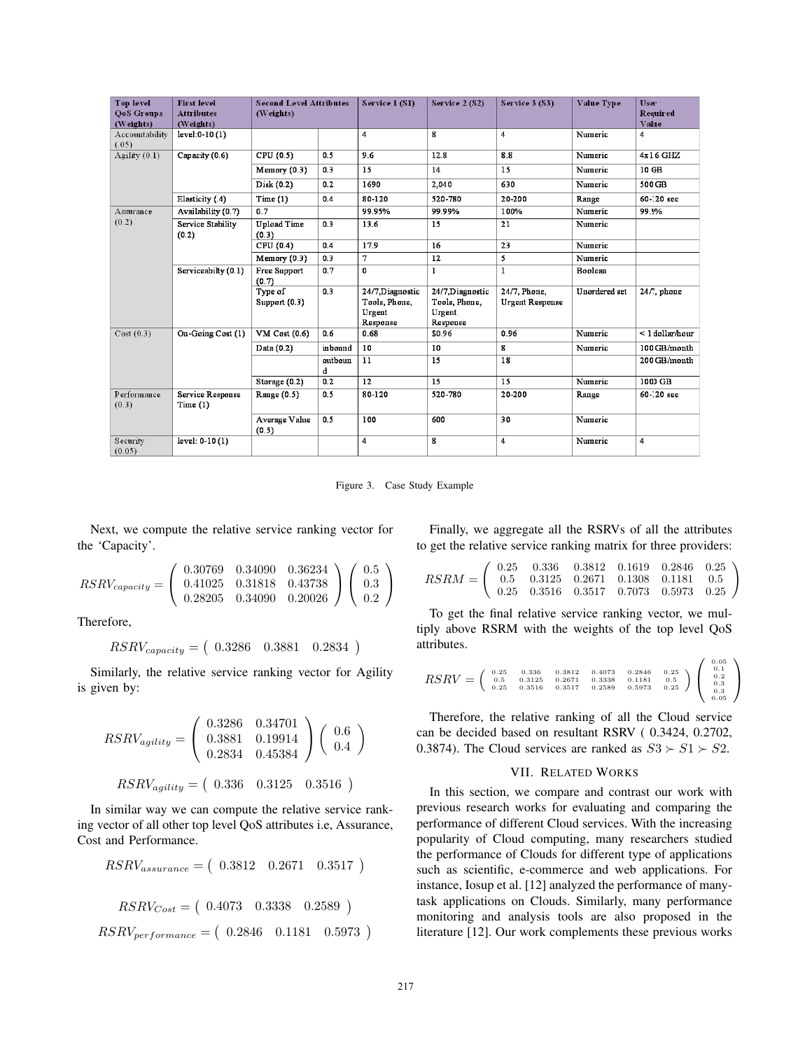| <b>Top level</b><br><b>QoS</b> Groups<br>(Weights) | <b>First level</b><br><b>Attributes</b><br>(Weights) | <b>Second Level Attributes</b><br>(Weights) |              | Service 1 (S1)                                         | Service 2 (S2)                                         | Service 3 (S3)                  | Value Type    | User<br>Required<br>Value |
|----------------------------------------------------|------------------------------------------------------|---------------------------------------------|--------------|--------------------------------------------------------|--------------------------------------------------------|---------------------------------|---------------|---------------------------|
| Accountability<br>(.05)                            | $level: 0-10(1)$                                     |                                             |              | 4                                                      | 8                                                      | $\overline{4}$                  | Numeric       | 4                         |
| Agility $(0.1)$                                    | Capacity (0.6)                                       | CPU (0.5)                                   | 0.5          | 9.6                                                    | 12.8                                                   | 8.8                             | Numeric       | $4x1.6$ GHZ               |
|                                                    |                                                      | Memory(0.3)                                 | 0.3          | 15                                                     | 14                                                     | 15                              | Numeric       | 10 GB                     |
|                                                    |                                                      | Disk(0.2)                                   | 0.2          | 1690                                                   | 2,040                                                  | 630                             | Numeric       | 500 GB                    |
|                                                    | Elasticity (.4)                                      | Time(1)                                     | 0.4          | 80-120                                                 | 520-780                                                | 20-200                          | Range         | 60-120 sec                |
| Assurance<br>(0.2)                                 | Availability (0.7)                                   | 0.7                                         |              | 99.95%                                                 | 99.99%                                                 | 100%                            | Numeric       | 99.9%                     |
|                                                    | Service Stability<br>(0.2)                           | <b>Upload Time</b><br>(0.3)                 | 0.3          | 13.6                                                   | 15                                                     | 21                              | Numeric       |                           |
|                                                    |                                                      | CPU (0.4)                                   | 0.4          | 17.9                                                   | 16                                                     | 23                              | Numeric       |                           |
|                                                    |                                                      | Memory(0.3)                                 | 0.3          | 7                                                      | 12                                                     | 5                               | Numeric       |                           |
|                                                    | Serviceabilty (0.1)                                  | Free Support<br>(0.7)                       | 0.7          | 0                                                      | 1                                                      | $\mathbf{1}$                    | Boolean       |                           |
|                                                    |                                                      | Type of<br>Support (0.3)                    | 0.3          | 24/7.Diagnostic<br>Tools. Phone.<br>Urgent<br>Response | 24/7.Diagnostic<br>Tools, Phone,<br>Urgent<br>Response | 24/7, Phone,<br>Urgent Response | Unordered set | 24/7, phone               |
| Cost(0.3)                                          | On-Going Cost (1)                                    | $VM$ Cost $(0.6)$                           | 0.6          | 0.68                                                   | \$0.96                                                 | 0.96                            | Numeric       | < 1 dollar/hour           |
|                                                    |                                                      | Data $(0.2)$                                | inbound      | 10                                                     | 10                                                     | 8                               | Numeric       | 100 GB/month              |
|                                                    |                                                      |                                             | outboun<br>d | 11                                                     | 15                                                     | 18                              |               | 200 GB/month              |
|                                                    |                                                      | Storage (0.2)                               | 0.2          | 12                                                     | 15                                                     | 15                              | Numeric       | 1000 GB                   |
| Performance<br>(0.3)                               | Service Response<br>Time(1)                          | Range (0.5)                                 | 0.5          | 80-120                                                 | 520-780                                                | 20-200                          | Range         | 60-120 sec                |
|                                                    |                                                      | Average Value<br>(0.5)                      | 0.5          | 100                                                    | 600                                                    | 30                              | Numeric       |                           |
| Security<br>(0.05)                                 | level: 0-10(1)                                       |                                             |              | 4                                                      | 8                                                      | 4                               | Numeric       | $\overline{4}$            |

Figure 3. Case Study Example

Next, we compute the relative service ranking vector for the 'Capacity'.

$$
RSRV_{capacity} = \left(\begin{array}{ccc} 0.30769 & 0.34090 & 0.36234 \\ 0.41025 & 0.31818 & 0.43738 \\ 0.28205 & 0.34090 & 0.20026 \end{array}\right) \left(\begin{array}{c} 0.5 \\ 0.3 \\ 0.2 \end{array}\right)
$$

Therefore,

$$
RSRV_{capacity} = (0.3286 \quad 0.3881 \quad 0.2834)
$$

Similarly, the relative service ranking vector for Agility is given by:

$$
RSRV_{agility} = \begin{pmatrix} 0.3286 & 0.34701 \\ 0.3881 & 0.19914 \\ 0.2834 & 0.45384 \end{pmatrix} \begin{pmatrix} 0.6 \\ 0.4 \end{pmatrix}
$$

$$
RSRV_{agility} = \begin{pmatrix} 0.336 & 0.3125 & 0.3516 \end{pmatrix}
$$

In similar way we can compute the relative service ranking vector of all other top level QoS attributes i.e, Assurance, Cost and Performance.

$$
RSRV_{assurance} = (0.3812 \quad 0.2671 \quad 0.3517)
$$

$$
RSRV_{Cost} = (0.4073 \quad 0.3338 \quad 0.2589)
$$

$$
RSRV_{performance} = (0.2846 \quad 0.1181 \quad 0.5973)
$$

Finally, we aggregate all the RSRVs of all the attributes to get the relative service ranking matrix for three providers:

$$
RSRM = \left(\begin{array}{cccccc} 0.25 & 0.336 & 0.3812 & 0.1619 & 0.2846 & 0.25 \\ 0.5 & 0.3125 & 0.2671 & 0.1308 & 0.1181 & 0.5 \\ 0.25 & 0.3516 & 0.3517 & 0.7073 & 0.5973 & 0.25 \end{array}\right)
$$

To get the final relative service ranking vector, we multiply above RSRM with the weights of the top level QoS attributes.

$$
RSRV = \left(\begin{array}{cccccc}\n0.25 & 0.336 & 0.3812 & 0.4073 & 0.2846 & 0.25 \\
0.5 & 0.3125 & 0.2671 & 0.3338 & 0.1181 & 0.5 \\
0.25 & 0.3516 & 0.3517 & 0.2589 & 0.5973 & 0.25\n\end{array}\right) \left(\begin{array}{c}\n0.05 \\
0.1 \\
0.2 \\
0.3 \\
0.3 \\
0.05 \\
0.05\n\end{array}\right)
$$

Therefore, the relative ranking of all the Cloud service can be decided based on resultant RSRV ( 0.3424, 0.2702, 0.3874). The Cloud services are ranked as  $S3 \succ S1 \succ S2$ .

#### VII. RELATED WORKS

In this section, we compare and contrast our work with previous research works for evaluating and comparing the performance of different Cloud services. With the increasing popularity of Cloud computing, many researchers studied the performance of Clouds for different type of applications such as scientific, e-commerce and web applications. For instance, Iosup et al. [12] analyzed the performance of manytask applications on Clouds. Similarly, many performance monitoring and analysis tools are also proposed in the literature [12]. Our work complements these previous works